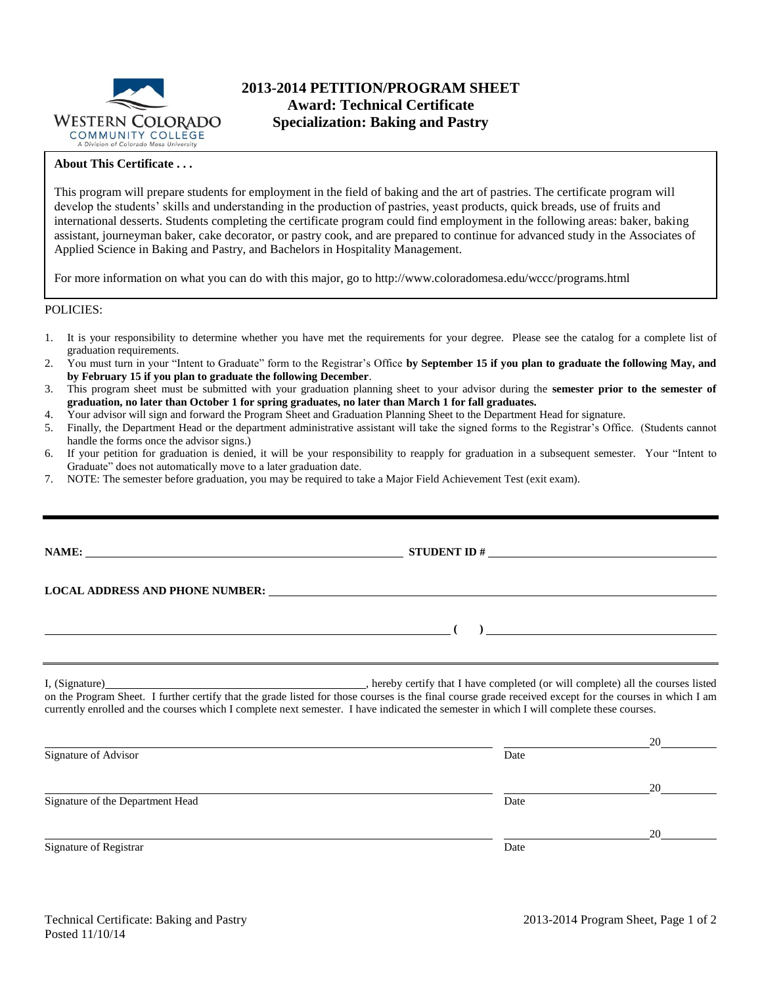

# **2013-2014 PETITION/PROGRAM SHEET Award: Technical Certificate Specialization: Baking and Pastry**

### **About This Certificate . . .**

This program will prepare students for employment in the field of baking and the art of pastries. The certificate program will develop the students' skills and understanding in the production of pastries, yeast products, quick breads, use of fruits and international desserts. Students completing the certificate program could find employment in the following areas: baker, baking assistant, journeyman baker, cake decorator, or pastry cook, and are prepared to continue for advanced study in the Associates of Applied Science in Baking and Pastry, and Bachelors in Hospitality Management.

For more information on what you can do with this major, go to http://www.coloradomesa.edu/wccc/programs.html

#### POLICIES:

- 1. It is your responsibility to determine whether you have met the requirements for your degree. Please see the catalog for a complete list of graduation requirements.
- 2. You must turn in your "Intent to Graduate" form to the Registrar's Office **by September 15 if you plan to graduate the following May, and by February 15 if you plan to graduate the following December**.
- 3. This program sheet must be submitted with your graduation planning sheet to your advisor during the **semester prior to the semester of graduation, no later than October 1 for spring graduates, no later than March 1 for fall graduates.**
- 4. Your advisor will sign and forward the Program Sheet and Graduation Planning Sheet to the Department Head for signature.
- 5. Finally, the Department Head or the department administrative assistant will take the signed forms to the Registrar's Office. (Students cannot handle the forms once the advisor signs.)
- 6. If your petition for graduation is denied, it will be your responsibility to reapply for graduation in a subsequent semester. Your "Intent to Graduate" does not automatically move to a later graduation date.
- 7. NOTE: The semester before graduation, you may be required to take a Major Field Achievement Test (exit exam).

|                                  | LOCAL ADDRESS AND PHONE NUMBER: University of the contract of the contract of the contract of the contract of the contract of the contract of the contract of the contract of the contract of the contract of the contract of                                                                              |  |
|----------------------------------|------------------------------------------------------------------------------------------------------------------------------------------------------------------------------------------------------------------------------------------------------------------------------------------------------------|--|
|                                  | $\overline{a}$ ( ) and $\overline{a}$ ( ) and $\overline{a}$ ( ) and $\overline{a}$ ( ) and $\overline{a}$ ( ) and $\overline{a}$ ( ) and $\overline{a}$ ( ) and $\overline{a}$ ( ) and $\overline{a}$ ( ) and $\overline{a}$ ( ) and $\overline{a}$ ( ) and $\overline{a}$ ( ) and $\overline{a}$ ( ) and |  |
|                                  | on the Program Sheet. I further certify that the grade listed for those courses is the final course grade received except for the courses in which I am<br>currently enrolled and the courses which I complete next semester. I have indicated the semester in which I will complete these courses.        |  |
|                                  |                                                                                                                                                                                                                                                                                                            |  |
| Signature of Advisor             | Date                                                                                                                                                                                                                                                                                                       |  |
|                                  |                                                                                                                                                                                                                                                                                                            |  |
| Signature of the Department Head | Date                                                                                                                                                                                                                                                                                                       |  |

Signature of Registrar Date Date of Registrar Date Date of Registrar Date Date of Registrar Date of Registrar Date of Registrar  $\sim$  Date of Registrar  $\sim$  Date of Registrar  $\sim$  Date of Registrar  $\sim$  Date of Registrar  $\$ 

20